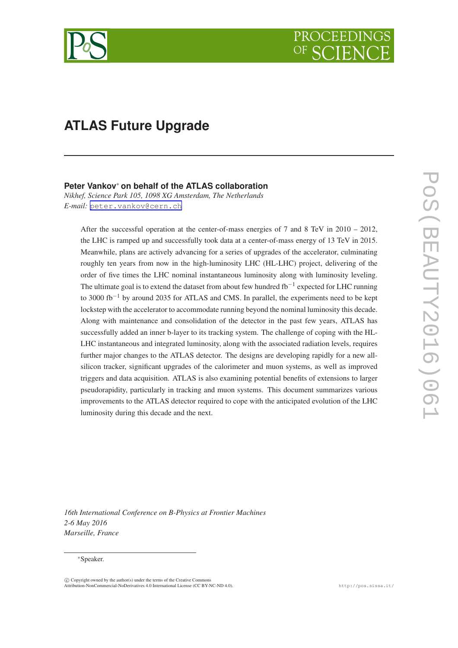

# **ATLAS Future Upgrade**

## **Peter Vankov**∗ **on behalf of the ATLAS collaboration**

*Nikhef, Science Park 105, 1098 XG Amsterdam, The Netherlands E-mail:* [peter.vankov@cern.ch](mailto:peter.vankov@cern.ch)

After the successful operation at the center-of-mass energies of 7 and 8 TeV in 2010 – 2012, the LHC is ramped up and successfully took data at a center-of-mass energy of 13 TeV in 2015. Meanwhile, plans are actively advancing for a series of upgrades of the accelerator, culminating roughly ten years from now in the high-luminosity LHC (HL-LHC) project, delivering of the order of five times the LHC nominal instantaneous luminosity along with luminosity leveling. The ultimate goal is to extend the dataset from about few hundred fb<sup>-1</sup> expected for LHC running to 3000 fb<sup>-1</sup> by around 2035 for ATLAS and CMS. In parallel, the experiments need to be kept lockstep with the accelerator to accommodate running beyond the nominal luminosity this decade. Along with maintenance and consolidation of the detector in the past few years, ATLAS has successfully added an inner b-layer to its tracking system. The challenge of coping with the HL-LHC instantaneous and integrated luminosity, along with the associated radiation levels, requires further major changes to the ATLAS detector. The designs are developing rapidly for a new allsilicon tracker, significant upgrades of the calorimeter and muon systems, as well as improved triggers and data acquisition. ATLAS is also examining potential benefits of extensions to larger pseudorapidity, particularly in tracking and muon systems. This document summarizes various improvements to the ATLAS detector required to cope with the anticipated evolution of the LHC luminosity during this decade and the next.

*16th International Conference on B-Physics at Frontier Machines 2-6 May 2016 Marseille, France*

#### ∗Speaker.

 $\overline{c}$  Copyright owned by the author(s) under the terms of the Creative Commons Attribution-NonCommercial-NoDerivatives 4.0 International License (CC BY-NC-ND 4.0). http://pos.sissa.it/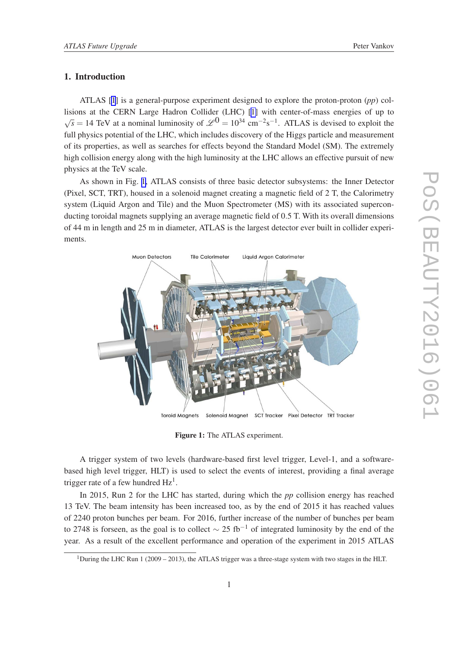## 1. Introduction

ATLAS [[1](#page-5-0)] is a general-purpose experiment designed to explore the proton-proton (*pp*) collisions at the CERN Large Hadron Collider (LHC) [\[1\]](#page-5-0) with center-of-mass energies of up to  $\sqrt{s}$  = 14 TeV at a nominal luminosity of  $\mathscr{L}^{0}$  = 10<sup>34</sup> cm<sup>-2</sup>s<sup>-1</sup>. ATLAS is devised to exploit the full physics potential of the LHC, which includes discovery of the Higgs particle and measurement of its properties, as well as searches for effects beyond the Standard Model (SM). The extremely high collision energy along with the high luminosity at the LHC allows an effective pursuit of new physics at the TeV scale.

As shown in Fig. 1, ATLAS consists of three basic detector subsystems: the Inner Detector (Pixel, SCT, TRT), housed in a solenoid magnet creating a magnetic field of 2 T, the Calorimetry system (Liquid Argon and Tile) and the Muon Spectrometer (MS) with its associated superconducting toroidal magnets supplying an average magnetic field of 0.5 T. With its overall dimensions of 44 m in length and 25 m in diameter, ATLAS is the largest detector ever built in collider experiments.



Figure 1: The ATLAS experiment.

A trigger system of two levels (hardware-based first level trigger, Level-1, and a softwarebased high level trigger, HLT) is used to select the events of interest, providing a final average trigger rate of a few hundred  $Hz<sup>1</sup>$ .

In 2015, Run 2 for the LHC has started, during which the *pp* collision energy has reached 13 TeV. The beam intensity has been increased too, as by the end of 2015 it has reached values of 2240 proton bunches per beam. For 2016, further increase of the number of bunches per beam to 2748 is forseen, as the goal is to collect  $\sim$  25 fb<sup>-1</sup> of integrated luminosity by the end of the year. As a result of the excellent performance and operation of the experiment in 2015 ATLAS

<sup>&</sup>lt;sup>1</sup>During the LHC Run 1 (2009 – 2013), the ATLAS trigger was a three-stage system with two stages in the HLT.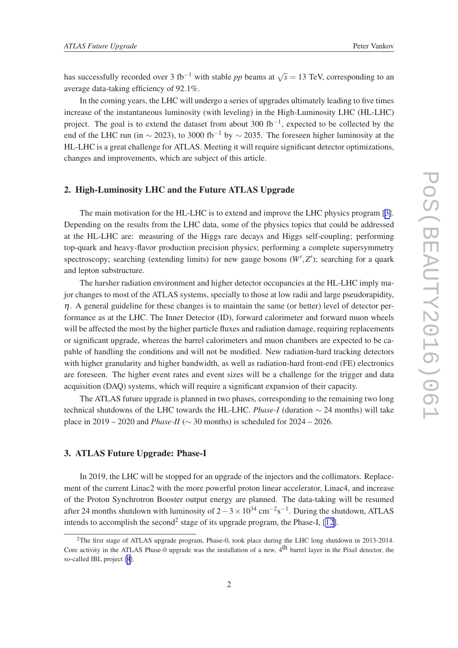has successfully recorded over 3 fb<sup>-1</sup> with stable *pp* beams at  $\sqrt{s} = 13$  TeV, corresponding to an average data-taking efficiency of 92.1%.

In the coming years, the LHC will undergo a series of upgrades ultimately leading to five times increase of the instantaneous luminosity (with leveling) in the High-Luminosity LHC (HL-LHC) project. The goal is to extend the dataset from about 300 fb<sup>-1</sup>, expected to be collected by the end of the LHC run (in  $\sim$  2023), to 3000 fb<sup>-1</sup> by  $\sim$  2035. The foreseen higher luminosity at the HL-LHC is a great challenge for ATLAS. Meeting it will require significant detector optimizations, changes and improvements, which are subject of this article.

## 2. High-Luminosity LHC and the Future ATLAS Upgrade

The main motivation for the HL-LHC is to extend and improve the LHC physics program [\[3\]](#page-6-0). Depending on the results from the LHC data, some of the physics topics that could be addressed at the HL-LHC are: measuring of the Higgs rare decays and Higgs self-coupling; performing top-quark and heavy-flavor production precision physics; performing a complete supersymmetry spectroscopy; searching (extending limits) for new gauge bosons  $(W', Z')$ ; searching for a quark and lepton substructure.

The harsher radiation environment and higher detector occupancies at the HL-LHC imply major changes to most of the ATLAS systems, specially to those at low radii and large pseudorapidity,  $\eta$ . A general guideline for these changes is to maintain the same (or better) level of detector performance as at the LHC. The Inner Detector (ID), forward calorimeter and forward muon wheels will be affected the most by the higher particle fluxes and radiation damage, requiring replacements or significant upgrade, whereas the barrel calorimeters and muon chambers are expected to be capable of handling the conditions and will not be modified. New radiation-hard tracking detectors with higher granularity and higher bandwidth, as well as radiation-hard front-end (FE) electronics are foreseen. The higher event rates and event sizes will be a challenge for the trigger and data acquisition (DAQ) systems, which will require a significant expansion of their capacity.

The ATLAS future upgrade is planned in two phases, corresponding to the remaining two long technical shutdowns of the LHC towards the HL-LHC. *Phase-I* (duration ∼ 24 months) will take place in 2019 – 2020 and *Phase-II* (∼ 30 months) is scheduled for 2024 – 2026.

## 3. ATLAS Future Upgrade: Phase-I

In 2019, the LHC will be stopped for an upgrade of the injectors and the collimators. Replacement of the current Linac2 with the more powerful proton linear accelerator, Linac4, and increase of the Proton Synchrotron Booster output energy are planned. The data-taking will be resumed after 24 months shutdown with luminosity of  $2-3 \times 10^{34}$  cm<sup>-2</sup>s<sup>-1</sup>. During the shutdown, ATLAS intends to accomplish the second<sup>2</sup> stage of its upgrade program, the Phase-I, [[12\]](#page-6-0).

<sup>&</sup>lt;sup>2</sup>The first stage of ATLAS upgrade program, Phase-0, took place during the LHC long shutdown in 2013-2014. Core activity in the ATLAS Phase-0 upgrade was the installation of a new,  $4<sup>th</sup>$  barrel layer in the Pixel detector, the so-called IBL project [[4](#page-6-0)].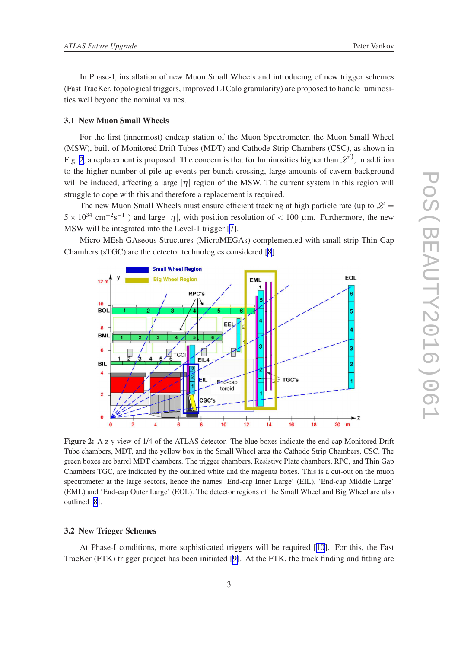In Phase-I, installation of new Muon Small Wheels and introducing of new trigger schemes (Fast TracKer, topological triggers, improved L1Calo granularity) are proposed to handle luminosities well beyond the nominal values.

#### 3.1 New Muon Small Wheels

For the first (innermost) endcap station of the Muon Spectrometer, the Muon Small Wheel (MSW), built of Monitored Drift Tubes (MDT) and Cathode Strip Chambers (CSC), as shown in Fig. 2, a replacement is proposed. The concern is that for luminosities higher than  $\mathscr{L}^0$ , in addition to the higher number of pile-up events per bunch-crossing, large amounts of cavern background will be induced, affecting a large  $|\eta|$  region of the MSW. The current system in this region will struggle to cope with this and therefore a replacement is required.

The new Muon Small Wheels must ensure efficient tracking at high particle rate (up to  $\mathscr{L}$  =  $5 \times 10^{34}$  cm<sup>-2</sup>s<sup>-1</sup>) and large |η|, with position resolution of < 100  $\mu$ m. Furthermore, the new MSW will be integrated into the Level-1 trigger [\[7\]](#page-6-0).

Micro-MEsh GAseous Structures (MicroMEGAs) complemented with small-strip Thin Gap Chambers (sTGC) are the detector technologies considered [[8](#page-6-0)].



Figure 2: A z-y view of 1/4 of the ATLAS detector. The blue boxes indicate the end-cap Monitored Drift Tube chambers, MDT, and the yellow box in the Small Wheel area the Cathode Strip Chambers, CSC. The green boxes are barrel MDT chambers. The trigger chambers, Resistive Plate chambers, RPC, and Thin Gap Chambers TGC, are indicated by the outlined white and the magenta boxes. This is a cut-out on the muon spectrometer at the large sectors, hence the names 'End-cap Inner Large' (EIL), 'End-cap Middle Large' (EML) and 'End-cap Outer Large' (EOL). The detector regions of the Small Wheel and Big Wheel are also outlined [[8\]](#page-6-0).

#### 3.2 New Trigger Schemes

At Phase-I conditions, more sophisticated triggers will be required [[10\]](#page-6-0). For this, the Fast TracKer (FTK) trigger project has been initiated [\[9\]](#page-6-0). At the FTK, the track finding and fitting are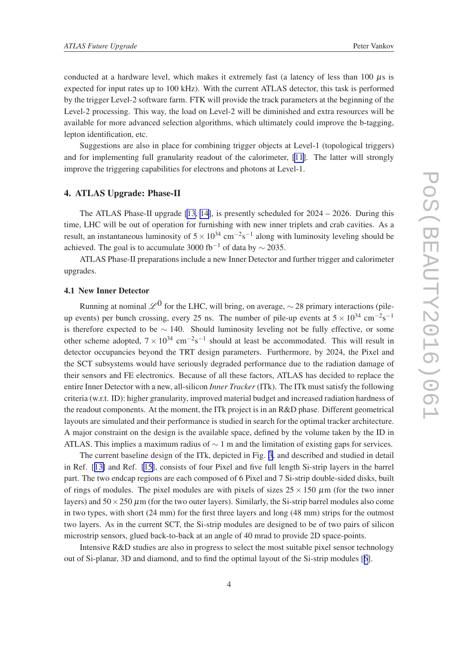conducted at a hardware level, which makes it extremely fast (a latency of less than  $100 \mu s$  is expected for input rates up to 100 kHz). With the current ATLAS detector, this task is performed by the trigger Level-2 software farm. FTK will provide the track parameters at the beginning of the Level-2 processing. This way, the load on Level-2 will be diminished and extra resources will be available for more advanced selection algorithms, which ultimately could improve the b-tagging, lepton identification, etc.

Suggestions are also in place for combining trigger objects at Level-1 (topological triggers) and for implementing full granularity readout of the calorimeter, [\[11\]](#page-6-0). The latter will strongly improve the triggering capabilities for electrons and photons at Level-1.

### 4. ATLAS Upgrade: Phase-II

The ATLAS Phase-II upgrade [\[13](#page-6-0), [14](#page-6-0)], is presently scheduled for  $2024 - 2026$ . During this time, LHC will be out of operation for furnishing with new inner triplets and crab cavities. As a result, an instantaneous luminosity of  $5 \times 10^{34}$  cm<sup>-2</sup>s<sup>-1</sup> along with luminosity leveling should be achieved. The goal is to accumulate 3000 fb<sup>-1</sup> of data by  $\sim$  2035.

ATLAS Phase-II preparations include a new Inner Detector and further trigger and calorimeter upgrades.

## 4.1 New Inner Detector

Running at nominal  $\mathscr{L}^0$  for the LHC, will bring, on average,  $\sim$  28 primary interactions (pileup events) per bunch crossing, every 25 ns. The number of pile-up events at  $5 \times 10^{34}$  cm<sup>-2</sup>s<sup>-1</sup> is therefore expected to be  $\sim$  140. Should luminosity leveling not be fully effective, or some other scheme adopted,  $7 \times 10^{34}$  cm<sup>-2</sup>s<sup>-1</sup> should at least be accommodated. This will result in detector occupancies beyond the TRT design parameters. Furthermore, by 2024, the Pixel and the SCT subsystems would have seriously degraded performance due to the radiation damage of their sensors and FE electronics. Because of all these factors, ATLAS has decided to replace the entire Inner Detector with a new, all-silicon *Inner Tracker* (ITk). The ITk must satisfy the following criteria (w.r.t. ID): higher granularity, improved material budget and increased radiation hardness of the readout components. At the moment, the ITk project is in an R&D phase. Different geometrical layouts are simulated and their performance is studied in search for the optimal tracker architecture. A major constraint on the design is the available space, defined by the volume taken by the ID in ATLAS. This implies a maximum radius of  $\sim 1$  m and the limitation of existing gaps for services.

The current baseline design of the ITk, depicted in Fig. [3](#page-5-0), and described and studied in detail in Ref. [[13\]](#page-6-0) and Ref. [\[15\]](#page-6-0), consists of four Pixel and five full length Si-strip layers in the barrel part. The two endcap regions are each composed of 6 Pixel and 7 Si-strip double-sided disks, built of rings of modules. The pixel modules are with pixels of sizes  $25 \times 150 \mu$ m (for the two inner layers) and  $50 \times 250 \mu$ m (for the two outer layers). Similarly, the Si-strip barrel modules also come in two types, with short (24 mm) for the first three layers and long (48 mm) strips for the outmost two layers. As in the current SCT, the Si-strip modules are designed to be of two pairs of silicon microstrip sensors, glued back-to-back at an angle of 40 mrad to provide 2D space-points.

Intensive R&D studies are also in progress to select the most suitable pixel sensor technology out of Si-planar, 3D and diamond, and to find the optimal layout of the Si-strip modules [[6](#page-6-0)].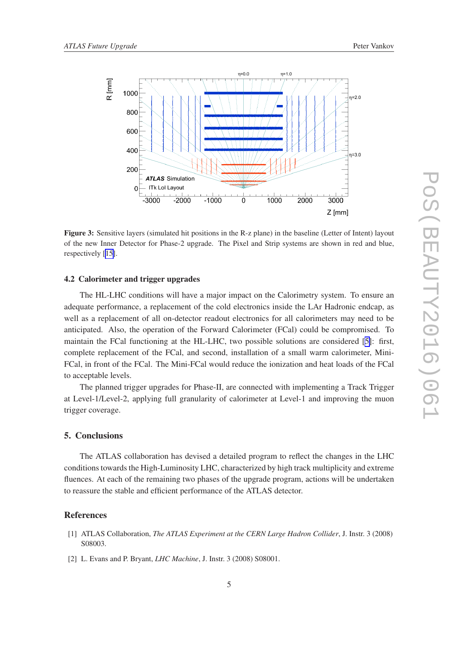<span id="page-5-0"></span>

Figure 3: Sensitive layers (simulated hit positions in the R-z plane) in the baseline (Letter of Intent) layout of the new Inner Detector for Phase-2 upgrade. The Pixel and Strip systems are shown in red and blue, respectively [[15\]](#page-6-0).

#### 4.2 Calorimeter and trigger upgrades

The HL-LHC conditions will have a major impact on the Calorimetry system. To ensure an adequate performance, a replacement of the cold electronics inside the LAr Hadronic endcap, as well as a replacement of all on-detector readout electronics for all calorimeters may need to be anticipated. Also, the operation of the Forward Calorimeter (FCal) could be compromised. To maintain the FCal functioning at the HL-LHC, two possible solutions are considered [\[5\]](#page-6-0): first, complete replacement of the FCal, and second, installation of a small warm calorimeter, Mini-FCal, in front of the FCal. The Mini-FCal would reduce the ionization and heat loads of the FCal to acceptable levels.

The planned trigger upgrades for Phase-II, are connected with implementing a Track Trigger at Level-1/Level-2, applying full granularity of calorimeter at Level-1 and improving the muon trigger coverage.

## 5. Conclusions

The ATLAS collaboration has devised a detailed program to reflect the changes in the LHC conditions towards the High-Luminosity LHC, characterized by high track multiplicity and extreme fluences. At each of the remaining two phases of the upgrade program, actions will be undertaken to reassure the stable and efficient performance of the ATLAS detector.

#### References

- [1] ATLAS Collaboration, *The ATLAS Experiment at the CERN Large Hadron Collider*, J. Instr. 3 (2008) S08003.
- [2] L. Evans and P. Bryant, *LHC Machine*, J. Instr. 3 (2008) S08001.